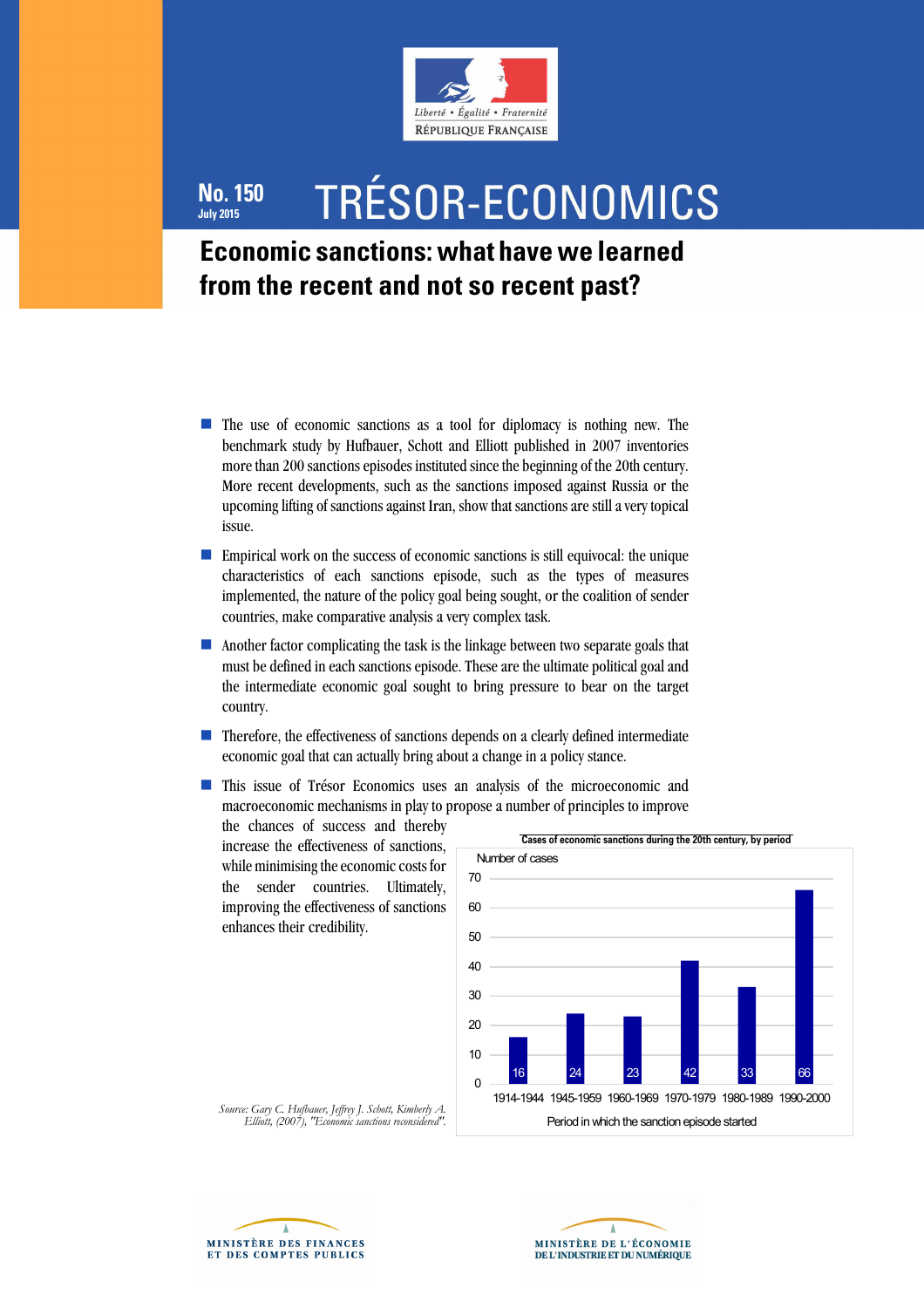

# **No. 150 July 2015**

# TRÉSOR-ECONOMICS

# **Economic sanctions: what have we learned from the recent and not so recent past?**

- The use of economic sanctions as a tool for diplomacy is nothing new. The benchmark study by Hufbauer, Schott and Elliott published in 2007 inventories more than 200 sanctions episodes instituted since the beginning of the 20th century. More recent developments, such as the sanctions imposed against Russia or the upcoming lifting of sanctions against Iran, show that sanctions are still a very topical issue.
- Empirical work on the success of economic sanctions is still equivocal: the unique characteristics of each sanctions episode, such as the types of measures implemented, the nature of the policy goal being sought, or the coalition of sender countries, make comparative analysis a very complex task.
- Another factor complicating the task is the linkage between two separate goals that must be defined in each sanctions episode. These are the ultimate political goal and the intermediate economic goal sought to bring pressure to bear on the target country.
- Therefore, the effectiveness of sanctions depends on a clearly defined intermediate economic goal that can actually bring about a change in a policy stance.
- This issue of Trésor Economics uses an analysis of the microeconomic and macroeconomic mechanisms in play to propose a number of principles to improve

the chances of success and thereby increase the effectiveness of sanctions, while minimising the economic costs for the sender countries. Ultimately, improving the effectiveness of sanctions enhances their credibility.







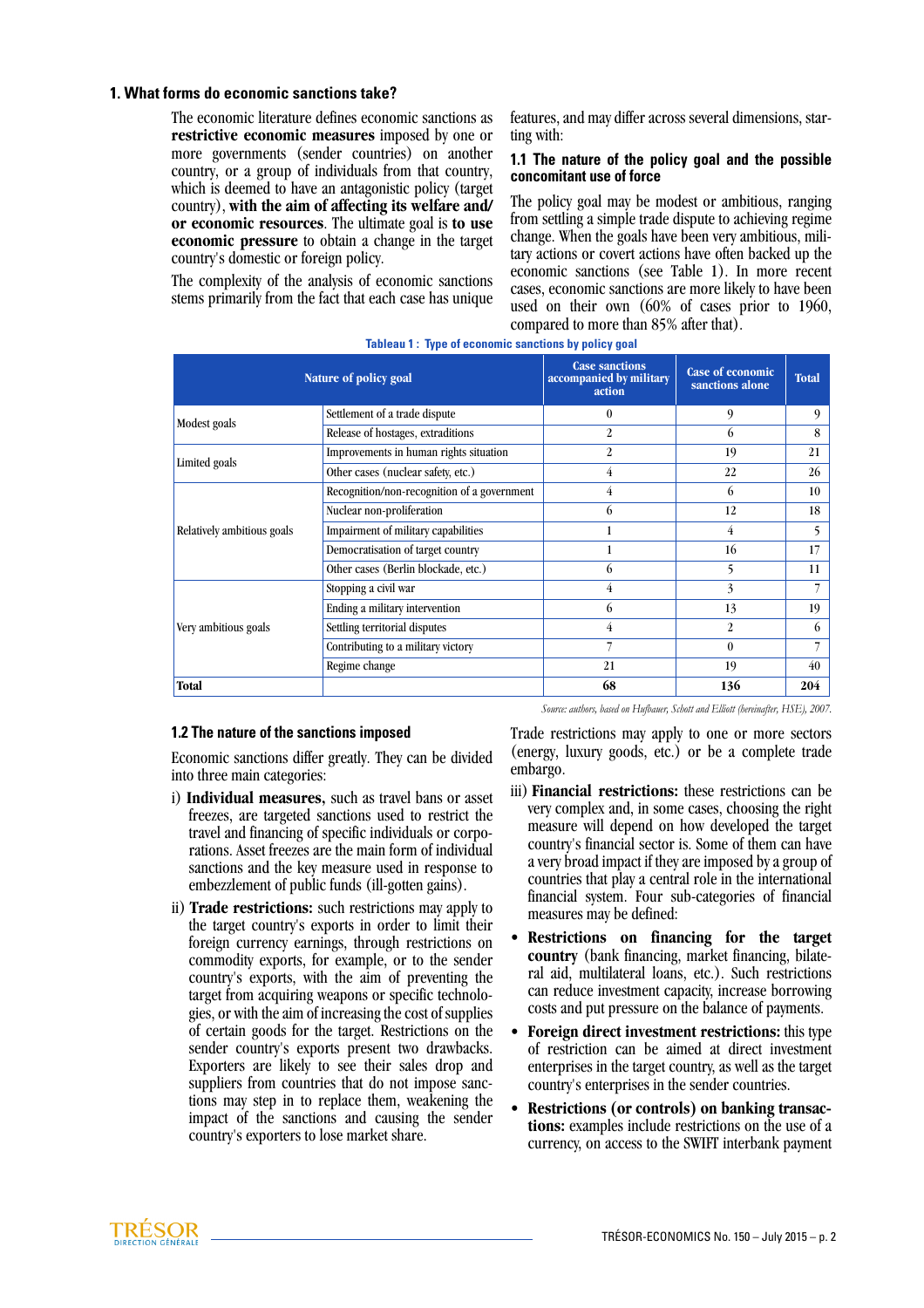# **1. What forms do economic sanctions take?**

The economic literature defines economic sanctions as **restrictive economic measures** imposed by one or more governments (sender countries) on another country, or a group of individuals from that country, which is deemed to have an antagonistic policy (target country), **with the aim of affecting its welfare and/ or economic resources**. The ultimate goal is **to use economic pressure** to obtain a change in the target country's domestic or foreign policy.

The complexity of the analysis of economic sanctions stems primarily from the fact that each case has unique features, and may differ across several dimensions, starting with:

#### **1.1 The nature of the policy goal and the possible concomitant use of force**

The policy goal may be modest or ambitious, ranging from settling a simple trade dispute to achieving regime change. When the goals have been very ambitious, military actions or covert actions have often backed up the economic sanctions (see Table 1). In more recent cases, economic sanctions are more likely to have been used on their own (60% of cases prior to 1960, compared to more than 85% after that).

|                            | Nature of policy goal                       | <b>Case sanctions</b><br>accompanied by military<br>action | <b>Case of economic</b><br>sanctions alone | <b>Total</b> |
|----------------------------|---------------------------------------------|------------------------------------------------------------|--------------------------------------------|--------------|
| Modest goals               | Settlement of a trade dispute               | $\theta$                                                   | 9                                          | 9            |
|                            | Release of hostages, extraditions           | $\mathfrak{D}$                                             | 6                                          | 8            |
| Limited goals              | Improvements in human rights situation      | $\overline{2}$                                             | 19                                         | 21           |
|                            | Other cases (nuclear safety, etc.)          | $\overline{4}$                                             | 22                                         | 26           |
| Relatively ambitious goals | Recognition/non-recognition of a government | 4                                                          | 6                                          | 10           |
|                            | Nuclear non-proliferation                   | 6                                                          | 12                                         | 18           |
|                            | Impairment of military capabilities         | 1                                                          | $\overline{4}$                             | 5            |
|                            | Democratisation of target country           | 1                                                          | 16                                         | 17           |
|                            | Other cases (Berlin blockade, etc.)         | 6                                                          | 5                                          | 11           |
| Very ambitious goals       | Stopping a civil war                        | 4                                                          | 3                                          |              |
|                            | Ending a military intervention              | 6                                                          | 13                                         | 19           |
|                            | Settling territorial disputes               | 4                                                          | 2                                          | 6            |
|                            | Contributing to a military victory          |                                                            | $\theta$                                   |              |
|                            | Regime change                               | 21                                                         | 19                                         | 40           |
| Total                      |                                             | 68                                                         | 136                                        | 204          |

#### **Tableau 1 : Type of economic sanctions by policy goal**

#### **1.2 The nature of the sanctions imposed**

Economic sanctions differ greatly. They can be divided into three main categories:

- i) **Individual measures,** such as travel bans or asset freezes, are targeted sanctions used to restrict the travel and financing of specific individuals or corporations. Asset freezes are the main form of individual sanctions and the key measure used in response to embezzlement of public funds (ill-gotten gains).
- ii) **Trade restrictions:** such restrictions may apply to the target country's exports in order to limit their foreign currency earnings, through restrictions on commodity exports, for example, or to the sender country's exports, with the aim of preventing the target from acquiring weapons or specific technologies, or with the aim of increasing the cost of supplies of certain goods for the target. Restrictions on the sender country's exports present two drawbacks. Exporters are likely to see their sales drop and suppliers from countries that do not impose sanctions may step in to replace them, weakening the impact of the sanctions and causing the sender country's exporters to lose market share.

Trade restrictions may apply to one or more sectors (energy, luxury goods, etc.) or be a complete trade embargo.

*Source: authors, based on Hufbauer, Schott and Elliott (hereinafter, HSE), 2007.*

- iii) **Financial restrictions:** these restrictions can be very complex and, in some cases, choosing the right measure will depend on how developed the target country's financial sector is. Some of them can have a very broad impact if they are imposed by a group of countries that play a central role in the international financial system. Four sub-categories of financial measures may be defined:
- **Restrictions on financing for the target country** (bank financing, market financing, bilateral aid, multilateral loans, etc.). Such restrictions can reduce investment capacity, increase borrowing costs and put pressure on the balance of payments.
- **Foreign direct investment restrictions:** this type of restriction can be aimed at direct investment enterprises in the target country, as well as the target country's enterprises in the sender countries.
- **Restrictions (or controls) on banking transactions:** examples include restrictions on the use of a currency, on access to the SWIFT interbank payment

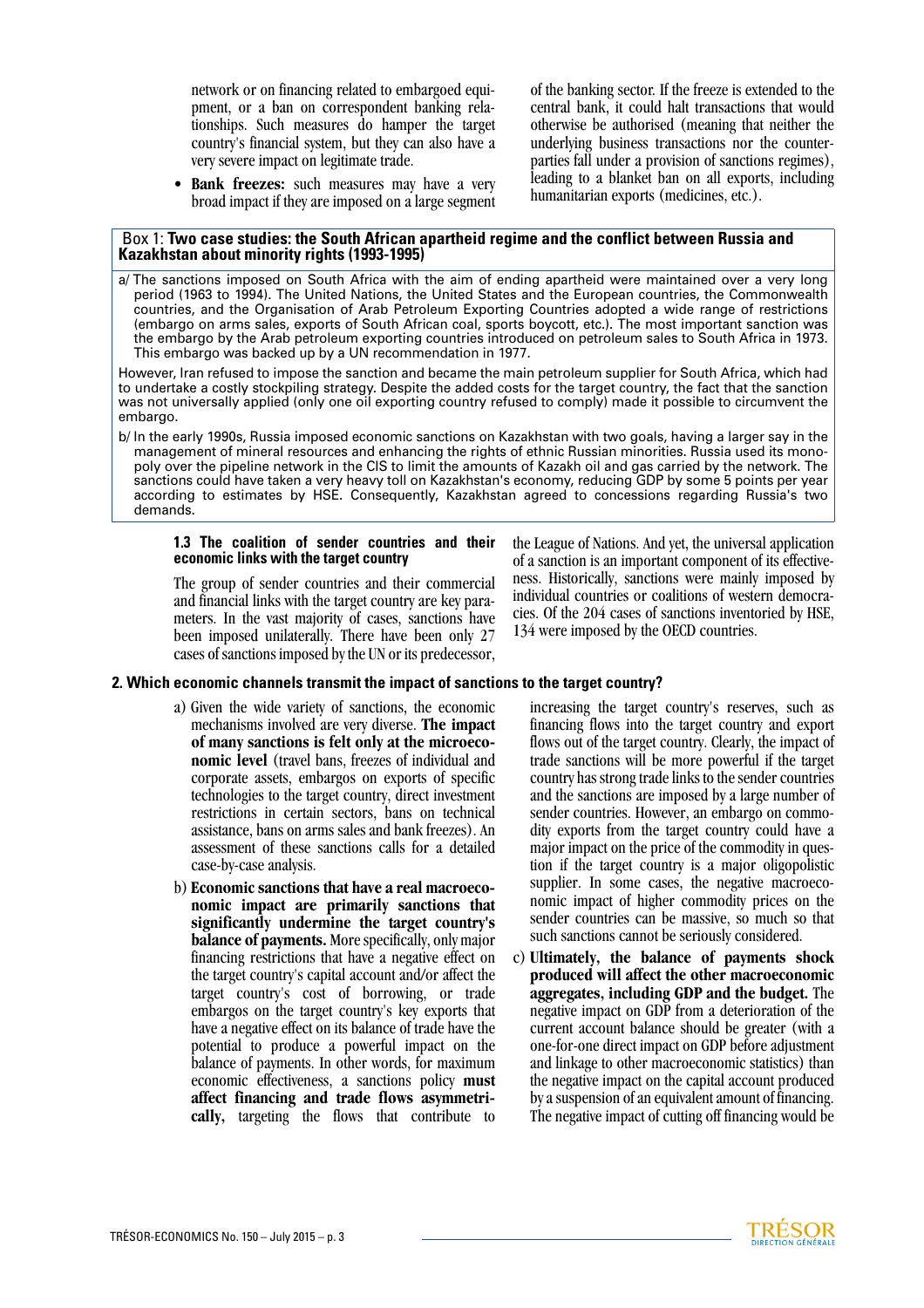network or on financing related to embargoed equipment, or a ban on correspondent banking relationships. Such measures do hamper the target country's financial system, but they can also have a very severe impact on legitimate trade.

• **Bank freezes:** such measures may have a very broad impact if they are imposed on a large segment of the banking sector. If the freeze is extended to the central bank, it could halt transactions that would otherwise be authorised (meaning that neither the underlying business transactions nor the counterparties fall under a provision of sanctions regimes), leading to a blanket ban on all exports, including humanitarian exports (medicines, etc.).

#### Box 1: **Two case studies: the South African apartheid regime and the conflict between Russia and Kazakhstan about minority rights (1993-1995)**

a/ The sanctions imposed on South Africa with the aim of ending apartheid were maintained over a very long period (1963 to 1994). The United Nations, the United States and the European countries, the Commonwealth countries, and the Organisation of Arab Petroleum Exporting Countries adopted a wide range of restrictions (embargo on arms sales, exports of South African coal, sports boycott, etc.). The most important sanction was the embargo by the Arab petroleum exporting countries introduced on petroleum sales to South Africa in 1973. This embargo was backed up by a UN recommendation in 1977.

However, Iran refused to impose the sanction and became the main petroleum supplier for South Africa, which had to undertake a costly stockpiling strategy. Despite the added costs for the target country, the fact that the sanction was not universally applied (only one oil exporting country refused to comply) made it possible to circumvent the embargo.

b/ In the early 1990s, Russia imposed economic sanctions on Kazakhstan with two goals, having a larger say in the management of mineral resources and enhancing the rights of ethnic Russian minorities. Russia used its monopoly over the pipeline network in the CIS to limit the amounts of Kazakh oil and gas carried by the network. The sanctions could have taken a very heavy toll on Kazakhstan's economy, reducing GDP by some 5 points per year according to estimates by HSE. Consequently, Kazakhstan agreed to concessions regarding Russia's two demands.

#### **1.3 The coalition of sender countries and their economic links with the target country**

The group of sender countries and their commercial and financial links with the target country are key parameters. In the vast majority of cases, sanctions have been imposed unilaterally. There have been only 27 cases of sanctions imposed by the UN or its predecessor,

# **2. Which economic channels transmit the impact of sanctions to the target country?**

- a) Given the wide variety of sanctions, the economic mechanisms involved are very diverse. **The impact of many sanctions is felt only at the microeconomic level** (travel bans, freezes of individual and corporate assets, embargos on exports of specific technologies to the target country, direct investment restrictions in certain sectors, bans on technical assistance, bans on arms sales and bank freezes). An assessment of these sanctions calls for a detailed case-by-case analysis.
- b) **Economic sanctions that have a real macroeconomic impact are primarily sanctions that significantly undermine the target country's balance of payments.** More specifically, only major financing restrictions that have a negative effect on the target country's capital account and/or affect the target country's cost of borrowing, or trade embargos on the target country's key exports that have a negative effect on its balance of trade have the potential to produce a powerful impact on the balance of payments. In other words, for maximum economic effectiveness, a sanctions policy **must affect financing and trade flows asymmetrically,** targeting the flows that contribute to

increasing the target country's reserves, such as financing flows into the target country and export flows out of the target country. Clearly, the impact of trade sanctions will be more powerful if the target country has strong trade links to the sender countries and the sanctions are imposed by a large number of sender countries. However, an embargo on commodity exports from the target country could have a major impact on the price of the commodity in question if the target country is a major oligopolistic supplier. In some cases, the negative macroeconomic impact of higher commodity prices on the sender countries can be massive, so much so that such sanctions cannot be seriously considered.

the League of Nations. And yet, the universal application of a sanction is an important component of its effectiveness. Historically, sanctions were mainly imposed by individual countries or coalitions of western democracies. Of the 204 cases of sanctions inventoried by HSE,

134 were imposed by the OECD countries.

c) **Ultimately, the balance of payments shock produced will affect the other macroeconomic aggregates, including GDP and the budget.** The negative impact on GDP from a deterioration of the current account balance should be greater (with a one-for-one direct impact on GDP before adjustment and linkage to other macroeconomic statistics) than the negative impact on the capital account produced by a suspension of an equivalent amount of financing. The negative impact of cutting off financing would be

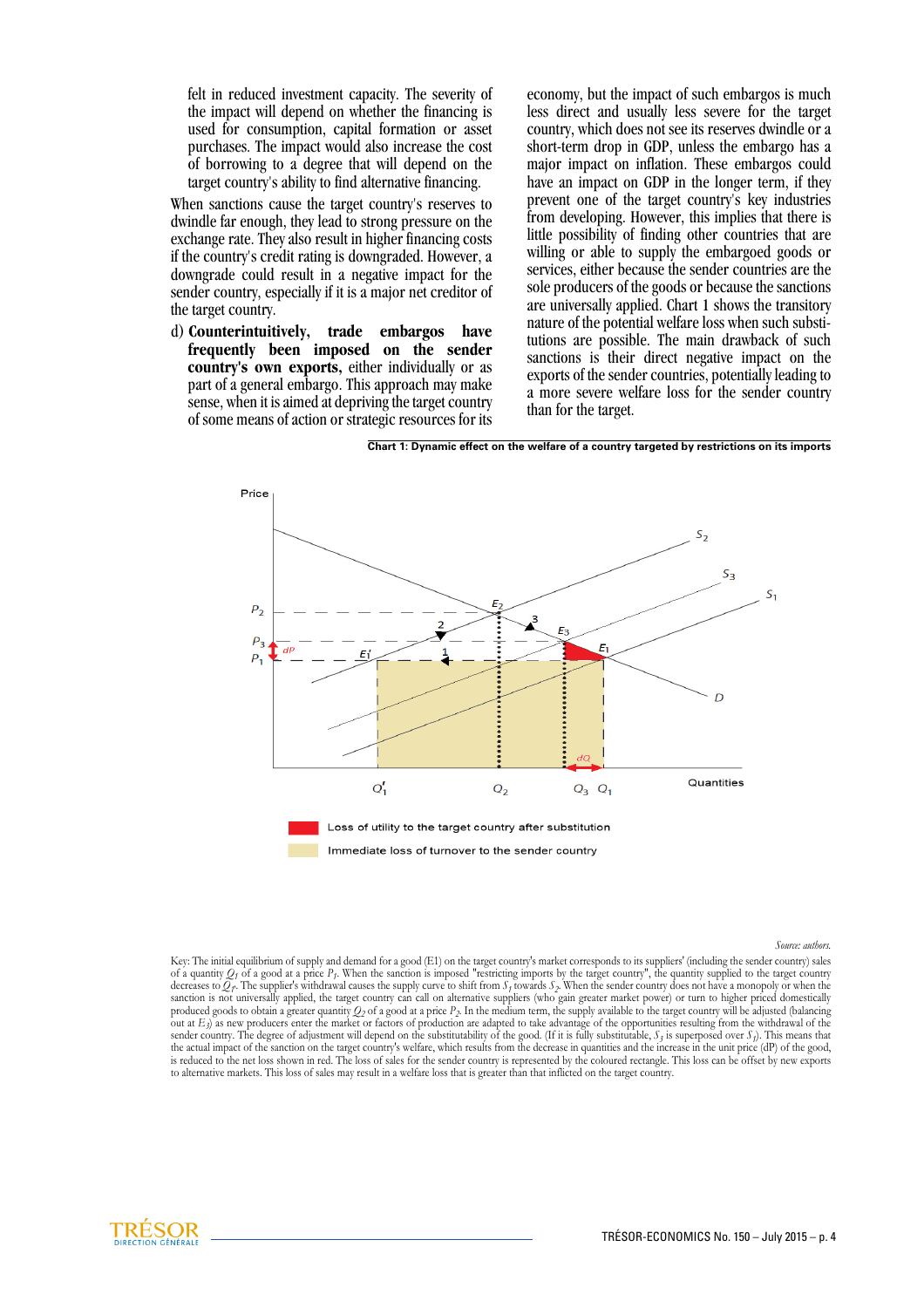felt in reduced investment capacity. The severity of the impact will depend on whether the financing is used for consumption, capital formation or asset purchases. The impact would also increase the cost of borrowing to a degree that will depend on the target country's ability to find alternative financing.

When sanctions cause the target country's reserves to dwindle far enough, they lead to strong pressure on the exchange rate. They also result in higher financing costs if the country's credit rating is downgraded. However, a downgrade could result in a negative impact for the sender country, especially if it is a major net creditor of the target country.

d) **Counterintuitively, trade embargos have frequently been imposed on the sender country's own exports,** either individually or as part of a general embargo. This approach may make sense, when it is aimed at depriving the target country of some means of action or strategic resources for its economy, but the impact of such embargos is much less direct and usually less severe for the target country, which does not see its reserves dwindle or a short-term drop in GDP, unless the embargo has a major impact on inflation. These embargos could have an impact on GDP in the longer term, if they prevent one of the target country's key industries from developing. However, this implies that there is little possibility of finding other countries that are willing or able to supply the embargoed goods or services, either because the sender countries are the sole producers of the goods or because the sanctions are universally applied. Chart 1 shows the transitory nature of the potential welfare loss when such substitutions are possible. The main drawback of such sanctions is their direct negative impact on the exports of the sender countries, potentially leading to a more severe welfare loss for the sender country than for the target.



**Chart 1: Dynamic effect on the welfare of a country targeted by restrictions on its imports**

*Source: authors.*

Key: The initial equilibrium of supply and demand for a good (E1) on the target country's market corresponds to its suppliers' (including the sender country) sales of a quantity  $Q_f$  of a good at a price  $P_f$ . When the sanction is imposed "restricting imports by the target country", the quantity supplied to the target country<br>decreases to  $Q_f$ . The supplier's withdrawal causes the s sanction is not universally applied, the target country can call on alternative suppliers (who gain greater market power) or turn to higher priced domestically produced goods to obtain a greater quantity  $Q_2$  of a good at a price  $P_2$ . In the medium term, the supply available to the target country will be adjusted (balancing out at *E<sub>3</sub>*) as new producers enter the market or factors of production are adapted to take advantage of the opportunities resulting from the withdrawal of the sender country. The degree of adjustment will depend on the substitutability of the good. (If it is fully substitutable,  $S_3$  is superposed over  $S_1$ ). This means that the actual impact of the sanction on the target country's welfare, which results from the decrease in quantities and the increase in the unit price (dP) of the good,<br>is reduced to the net loss shown in red. The loss of sal to alternative markets. This loss of sales may result in a welfare loss that is greater than that inflicted on the target country.

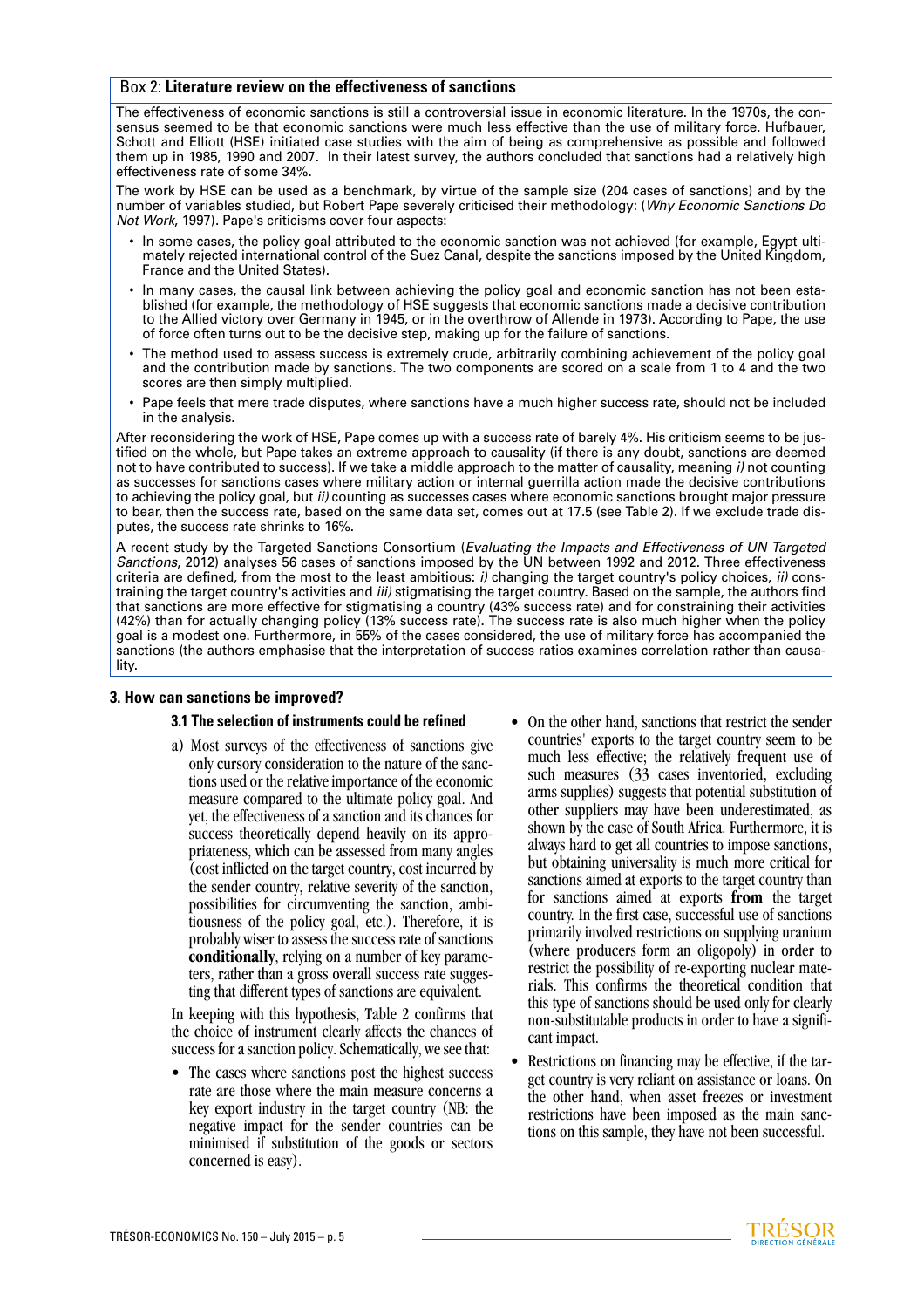### Box 2: **Literature review on the effectiveness of sanctions**

The effectiveness of economic sanctions is still a controversial issue in economic literature. In the 1970s, the consensus seemed to be that economic sanctions were much less effective than the use of military force. Hufbauer, Schott and Elliott (HSE) initiated case studies with the aim of being as comprehensive as possible and followed them up in 1985, 1990 and 2007. In their latest survey, the authors concluded that sanctions had a relatively high effectiveness rate of some 34%.

The work by HSE can be used as a benchmark, by virtue of the sample size (204 cases of sanctions) and by the number of variables studied, but Robert Pape severely criticised their methodology: (*Why Economic Sanctions Do Not Work*, 1997). Pape's criticisms cover four aspects:

- In some cases, the policy goal attributed to the economic sanction was not achieved (for example, Egypt ultimately rejected international control of the Suez Canal, despite the sanctions imposed by the United Kingdom, France and the United States).
- In many cases, the causal link between achieving the policy goal and economic sanction has not been established (for example, the methodology of HSE suggests that economic sanctions made a decisive contribution to the Allied victory over Germany in 1945, or in the overthrow of Allende in 1973). According to Pape, the use of force often turns out to be the decisive step, making up for the failure of sanctions.
- The method used to assess success is extremely crude, arbitrarily combining achievement of the policy goal and the contribution made by sanctions. The two components are scored on a scale from 1 to 4 and the two scores are then simply multiplied.
- Pape feels that mere trade disputes, where sanctions have a much higher success rate, should not be included in the analysis.

After reconsidering the work of HSE, Pape comes up with a success rate of barely 4%. His criticism seems to be justified on the whole, but Pape takes an extreme approach to causality (if there is any doubt, sanctions are deemed not to have contributed to success). If we take a middle approach to the matter of causality, meaning *i)* not counting as successes for sanctions cases where military action or internal guerrilla action made the decisive contributions to achieving the policy goal, but *ii)* counting as successes cases where economic sanctions brought major pressure to bear, then the success rate, based on the same data set, comes out at 17.5 (see Table 2). If we exclude trade disputes, the success rate shrinks to 16%.

A recent study by the Targeted Sanctions Consortium (*Evaluating the Impacts and Effectiveness of UN Targeted Sanctions*, 2012) analyses 56 cases of sanctions imposed by the UN between 1992 and 2012. Three effectiveness criteria are defined, from the most to the least ambitious: *i)* changing the target country's policy choices, *ii)* constraining the target country's activities and *iii)* stigmatising the target country. Based on the sample, the authors find that sanctions are more effective for stigmatising a country (43% success rate) and for constraining their activities (42%) than for actually changing policy (13% success rate). The success rate is also much higher when the policy goal is a modest one. Furthermore, in 55% of the cases considered, the use of military force has accompanied the sanctions (the authors emphasise that the interpretation of success ratios examines correlation rather than causality.

#### **3. How can sanctions be improved?**

#### **3.1 The selection of instruments could be refined**

a) Most surveys of the effectiveness of sanctions give only cursory consideration to the nature of the sanctions used or the relative importance of the economic measure compared to the ultimate policy goal. And yet, the effectiveness of a sanction and its chances for success theoretically depend heavily on its appropriateness, which can be assessed from many angles (cost inflicted on the target country, cost incurred by the sender country, relative severity of the sanction, possibilities for circumventing the sanction, ambitiousness of the policy goal, etc.). Therefore, it is probably wiser to assess the success rate of sanctions **conditionally**, relying on a number of key parameters, rather than a gross overall success rate suggesting that different types of sanctions are equivalent.

In keeping with this hypothesis, Table 2 confirms that the choice of instrument clearly affects the chances of success for a sanction policy. Schematically, we see that:

- The cases where sanctions post the highest success rate are those where the main measure concerns a key export industry in the target country (NB: the negative impact for the sender countries can be minimised if substitution of the goods or sectors concerned is easy).
- On the other hand, sanctions that restrict the sender countries' exports to the target country seem to be much less effective; the relatively frequent use of such measures (33 cases inventoried, excluding arms supplies) suggests that potential substitution of other suppliers may have been underestimated, as shown by the case of South Africa. Furthermore, it is always hard to get all countries to impose sanctions, but obtaining universality is much more critical for sanctions aimed at exports to the target country than for sanctions aimed at exports **from** the target country. In the first case, successful use of sanctions primarily involved restrictions on supplying uranium (where producers form an oligopoly) in order to restrict the possibility of re-exporting nuclear materials. This confirms the theoretical condition that this type of sanctions should be used only for clearly non-substitutable products in order to have a significant impact.
- Restrictions on financing may be effective, if the target country is very reliant on assistance or loans. On the other hand, when asset freezes or investment restrictions have been imposed as the main sanctions on this sample, they have not been successful.

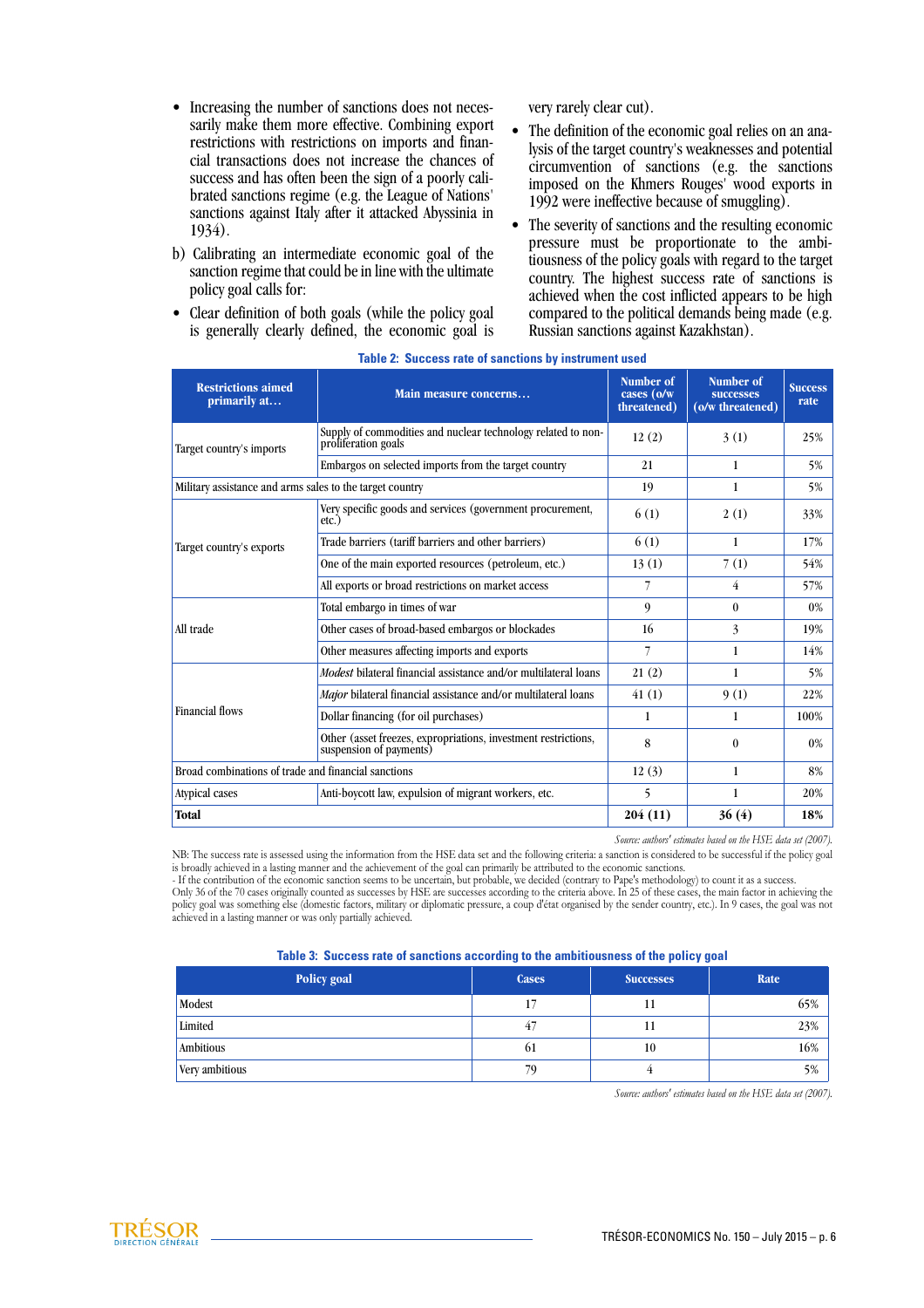- Increasing the number of sanctions does not necessarily make them more effective. Combining export restrictions with restrictions on imports and financial transactions does not increase the chances of success and has often been the sign of a poorly calibrated sanctions regime (e.g. the League of Nations' sanctions against Italy after it attacked Abyssinia in 1934).
- b) Calibrating an intermediate economic goal of the sanction regime that could be in line with the ultimate policy goal calls for:
- Clear definition of both goals (while the policy goal is generally clearly defined, the economic goal is

very rarely clear cut).

- The definition of the economic goal relies on an analysis of the target country's weaknesses and potential circumvention of sanctions (e.g. the sanctions imposed on the Khmers Rouges' wood exports in 1992 were ineffective because of smuggling).
- The severity of sanctions and the resulting economic pressure must be proportionate to the ambitiousness of the policy goals with regard to the target country. The highest success rate of sanctions is achieved when the cost inflicted appears to be high compared to the political demands being made (e.g. Russian sanctions against Kazakhstan).

| <b>Restrictions aimed</b><br>primarily at                | Main measure concerns                                                                     | Number of<br>cases (o/w<br>threatened) | Number of<br><b>SUCCESSES</b><br>(o/w threatened) | <b>Success</b><br>rate |
|----------------------------------------------------------|-------------------------------------------------------------------------------------------|----------------------------------------|---------------------------------------------------|------------------------|
| Target country's imports                                 | Supply of commodities and nuclear technology related to non-<br>proliferation goals       | 12(2)                                  | 3(1)                                              | 25%                    |
|                                                          | Embargos on selected imports from the target country                                      | 21                                     | $\mathbf{1}$                                      | 5%                     |
| Military assistance and arms sales to the target country |                                                                                           | 19                                     | 1                                                 | 5%                     |
| Target country's exports                                 | Very specific goods and services (government procurement,<br>etc.                         | 6(1)                                   | 2(1)                                              | 33%                    |
|                                                          | Trade barriers (tariff barriers and other barriers)                                       | 6(1)                                   | 1                                                 | 17%                    |
|                                                          | One of the main exported resources (petroleum, etc.)                                      | 13(1)                                  | 7(1)                                              | 54%                    |
|                                                          | All exports or broad restrictions on market access                                        | 7                                      | 4                                                 | 57%                    |
| All trade                                                | Total embargo in times of war                                                             | 9                                      | $\theta$                                          | 0%                     |
|                                                          | Other cases of broad-based embargos or blockades                                          | 16                                     | 3                                                 | 19%                    |
|                                                          | Other measures affecting imports and exports                                              | 7                                      | 1                                                 | 14%                    |
| <b>Financial flows</b>                                   | <i>Modest</i> bilateral financial assistance and/or multilateral loans                    | 21(2)                                  | 1                                                 | 5%                     |
|                                                          | Major bilateral financial assistance and/or multilateral loans                            | 41(1)                                  | 9(1)                                              | 22%                    |
|                                                          | Dollar financing (for oil purchases)                                                      | 1                                      | 1                                                 | 100%                   |
|                                                          | Other (asset freezes, expropriations, investment restrictions,<br>suspension of payments) | 8                                      | $\theta$                                          | 0%                     |
| Broad combinations of trade and financial sanctions      |                                                                                           | 12(3)                                  | 1                                                 | 8%                     |
| Atypical cases                                           | Anti-boycott law, expulsion of migrant workers, etc.                                      | 5                                      | 1                                                 | 20%                    |
| <b>Total</b>                                             |                                                                                           | 204 (11)                               | 36(4)                                             | 18%                    |

#### **Table 2: Success rate of sanctions by instrument used**

*Source: authors' estimates based on the HSE data set (2007).*

NB: The success rate is assessed using the information from the HSE data set and the following criteria: a sanction is considered to be successful if the policy goal is broadly achieved in a lasting manner and the achievement of the goal can primarily be attributed to the economic sanctions.

- If the contribution of the economic sanction seems to be uncertain, but probable, we decided (contrary to Pape's methodology) to count it as a success.

Only 36 of the 70 cases originally counted as successes by HSE are successes according to the criteria above. In 25 of these cases, the main factor in achieving the policy goal was something else (domestic factors, military or diplomatic pressure, a coup d'état organised by the sender country, etc.). In 9 cases, the goal was not achieved in a lasting manner or was only partially achieved.

| Table 3: Success rate of sanctions according to the ambitiousness of the policy goal |  |  |  |
|--------------------------------------------------------------------------------------|--|--|--|
|--------------------------------------------------------------------------------------|--|--|--|

| Policy goal    | <b>Cases</b> | <b>Successes</b> | Rate |
|----------------|--------------|------------------|------|
| Modest         |              | 11               | 65%  |
| Limited        | 47           | 11               | 23%  |
| Ambitious      | ωı           | 10               | 16%  |
| Very ambitious | 79           |                  | 5%   |

*Source: authors' estimates based on the HSE data set (2007).*

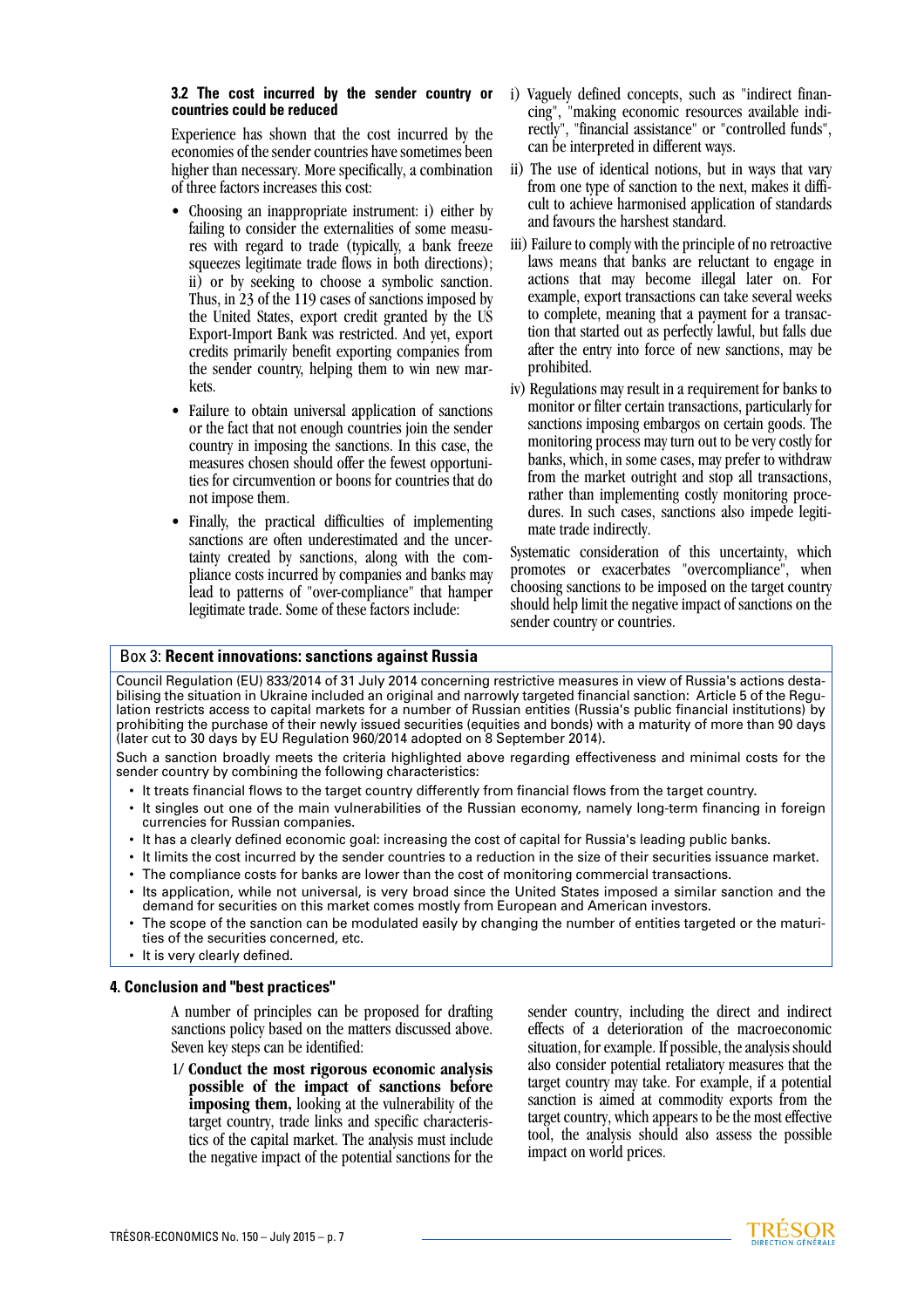#### **3.2 The cost incurred by the sender country or countries could be reduced**

Experience has shown that the cost incurred by the economies of the sender countries have sometimes been higher than necessary. More specifically, a combination of three factors increases this cost:

- Choosing an inappropriate instrument: i) either by failing to consider the externalities of some measures with regard to trade (typically, a bank freeze squeezes legitimate trade flows in both directions); ii) or by seeking to choose a symbolic sanction. Thus, in 23 of the 119 cases of sanctions imposed by the United States, export credit granted by the US Export-Import Bank was restricted. And yet, export credits primarily benefit exporting companies from the sender country, helping them to win new markets.
- Failure to obtain universal application of sanctions or the fact that not enough countries join the sender country in imposing the sanctions. In this case, the measures chosen should offer the fewest opportunities for circumvention or boons for countries that do not impose them.
- Finally, the practical difficulties of implementing sanctions are often underestimated and the uncertainty created by sanctions, along with the compliance costs incurred by companies and banks may lead to patterns of "over-compliance" that hamper legitimate trade. Some of these factors include:
- i) Vaguely defined concepts, such as "indirect financing", "making economic resources available indirectly", "financial assistance" or "controlled funds", can be interpreted in different ways.
- ii) The use of identical notions, but in ways that vary from one type of sanction to the next, makes it difficult to achieve harmonised application of standards and favours the harshest standard.
- iii) Failure to comply with the principle of no retroactive laws means that banks are reluctant to engage in actions that may become illegal later on. For example, export transactions can take several weeks to complete, meaning that a payment for a transaction that started out as perfectly lawful, but falls due after the entry into force of new sanctions, may be prohibited.
- iv) Regulations may result in a requirement for banks to monitor or filter certain transactions, particularly for sanctions imposing embargos on certain goods. The monitoring process may turn out to be very costly for banks, which, in some cases, may prefer to withdraw from the market outright and stop all transactions, rather than implementing costly monitoring procedures. In such cases, sanctions also impede legitimate trade indirectly.

Systematic consideration of this uncertainty, which promotes or exacerbates "overcompliance", when choosing sanctions to be imposed on the target country should help limit the negative impact of sanctions on the sender country or countries.

# Box 3: **Recent innovations: sanctions against Russia**

Council Regulation (EU) 833/2014 of 31 July 2014 concerning restrictive measures in view of Russia's actions destabilising the situation in Ukraine included an original and narrowly targeted financial sanction: Article 5 of the Regulation restricts access to capital markets for a number of Russian entities (Russia's public financial institutions) by prohibiting the purchase of their newly issued securities (equities and bonds) with a maturity of more than 90 days (later cut to 30 days by EU Regulation 960/2014 adopted on 8 September 2014).

Such a sanction broadly meets the criteria highlighted above regarding effectiveness and minimal costs for the sender country by combining the following characteristics:

- It treats financial flows to the target country differently from financial flows from the target country.
- It singles out one of the main vulnerabilities of the Russian economy, namely long-term financing in foreign currencies for Russian companies.
- It has a clearly defined economic goal: increasing the cost of capital for Russia's leading public banks.
- It limits the cost incurred by the sender countries to a reduction in the size of their securities issuance market. • The compliance costs for banks are lower than the cost of monitoring commercial transactions.
- Its application, while not universal, is very broad since the United States imposed a similar sanction and the demand for securities on this market comes mostly from European and American investors.
- The scope of the sanction can be modulated easily by changing the number of entities targeted or the maturities of the securities concerned, etc.
- It is very clearly defined.

# **4. Conclusion and "best practices"**

A number of principles can be proposed for drafting sanctions policy based on the matters discussed above. Seven key steps can be identified:

1/ **Conduct the most rigorous economic analysis possible of the impact of sanctions before imposing them,** looking at the vulnerability of the target country, trade links and specific characteristics of the capital market. The analysis must include the negative impact of the potential sanctions for the sender country, including the direct and indirect effects of a deterioration of the macroeconomic situation, for example. If possible, the analysis should also consider potential retaliatory measures that the target country may take. For example, if a potential sanction is aimed at commodity exports from the target country, which appears to be the most effective tool, the analysis should also assess the possible impact on world prices.